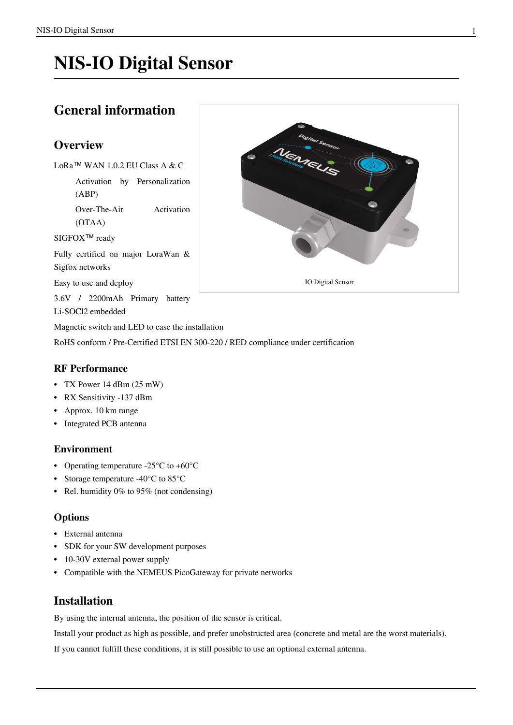# **NIS-IO Digital Sensor**

## **General information**

## **Overview**

LoRa™ WAN 1.0.2 EU Class A & C

Activation by Personalization (ABP)

Over-The-Air Activation (OTAA)

SIGFOX<sup>™</sup> ready

Fully certified on major LoraWan & Sigfox networks

Easy to use and deploy

3.6V / 2200mAh Primary battery

Li-SOCl2 embedded

Magnetic switch and LED to ease the installation

RoHS conform / Pre-Certified ETSI EN 300-220 / RED compliance under certification

### **RF Performance**

- TX Power 14 dBm (25 mW)
- RX Sensitivity -137 dBm
- Approx. 10 km range
- Integrated PCB antenna

### **Environment**

- Operating temperature -25°C to +60°C
- Storage temperature -40°C to 85°C
- Rel. humidity 0% to 95% (not condensing)

### **Options**

- External antenna
- SDK for your SW development purposes
- 10-30V external power supply
- Compatible with the NEMEUS PicoGateway for private networks

## **Installation**

By using the internal antenna, the position of the sensor is critical.

Install your product as high as possible, and prefer unobstructed area (concrete and metal are the worst materials).

If you cannot fulfill these conditions, it is still possible to use an optional external antenna.

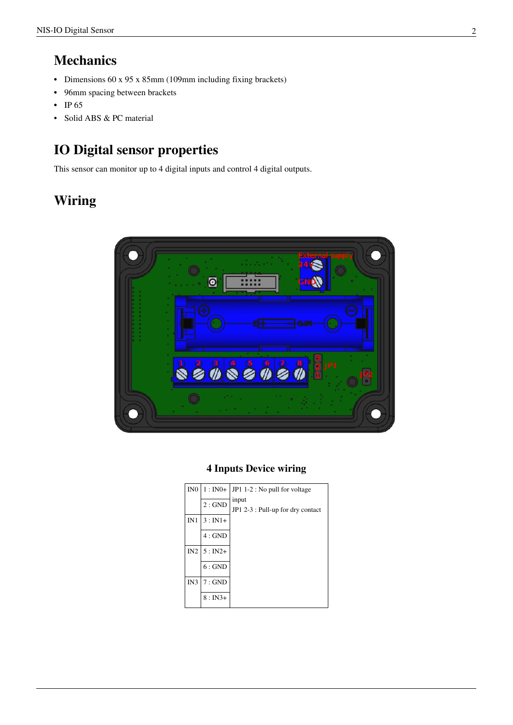## **Mechanics**

- Dimensions 60 x 95 x 85mm (109mm including fixing brackets)
- 96mm spacing between brackets
- IP 65
- Solid ABS & PC material

## **IO Digital sensor properties**

This sensor can monitor up to 4 digital inputs and control 4 digital outputs.

## **Wiring**



### **4 Inputs Device wiring**

| IN <sub>0</sub> | $1:IN0+$ | JP1 1-2 : No pull for voltage              |
|-----------------|----------|--------------------------------------------|
|                 | 2:GND    | input<br>JP1 2-3 : Pull-up for dry contact |
| IN1             | $3:IN1+$ |                                            |
|                 | $4:$ GND |                                            |
| IN2             | $5:IN2+$ |                                            |
|                 | 6:GND    |                                            |
| IN3             | $7:$ GND |                                            |
|                 | $8:IN3+$ |                                            |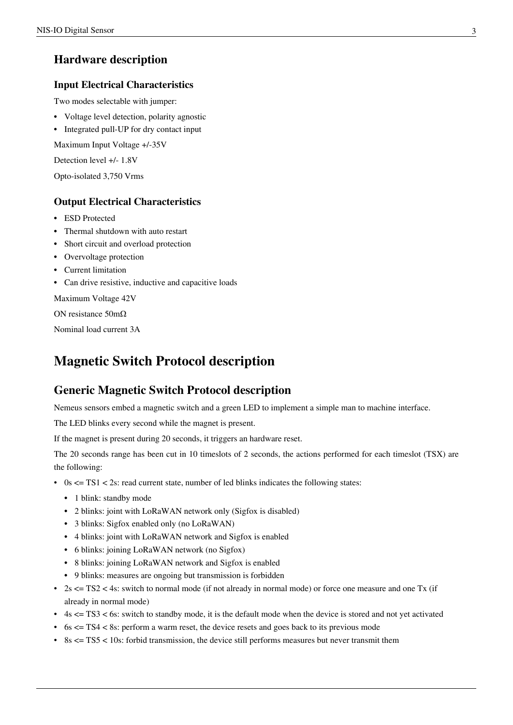## **Hardware description**

#### **Input Electrical Characteristics**

Two modes selectable with jumper:

- Voltage level detection, polarity agnostic
- Integrated pull-UP for dry contact input

Maximum Input Voltage +/-35V

Detection level +/- 1.8V

Opto-isolated 3,750 Vrms

#### **Output Electrical Characteristics**

- ESD Protected
- Thermal shutdown with auto restart
- Short circuit and overload protection
- Overvoltage protection
- Current limitation
- Can drive resistive, inductive and capacitive loads

Maximum Voltage 42V

ON resistance 50mΩ

Nominal load current 3A

## **Magnetic Switch Protocol description**

### **Generic Magnetic Switch Protocol description**

Nemeus sensors embed a magnetic switch and a green LED to implement a simple man to machine interface.

The LED blinks every second while the magnet is present.

If the magnet is present during 20 seconds, it triggers an hardware reset.

The 20 seconds range has been cut in 10 timeslots of 2 seconds, the actions performed for each timeslot (TSX) are the following:

- 0s  $\leq$  TS1  $\leq$  2s: read current state, number of led blinks indicates the following states:
	- 1 blink: standby mode
	- 2 blinks: joint with LoRaWAN network only (Sigfox is disabled)
	- 3 blinks: Sigfox enabled only (no LoRaWAN)
	- 4 blinks: joint with LoRaWAN network and Sigfox is enabled
	- 6 blinks: joining LoRaWAN network (no Sigfox)
	- 8 blinks: joining LoRaWAN network and Sigfox is enabled
	- 9 blinks: measures are ongoing but transmission is forbidden
- 2s  $\leq$  TS2  $\leq$  4s: switch to normal mode (if not already in normal mode) or force one measure and one Tx (if already in normal mode)
- $\cdot$  4s  $\leq$  TS3  $\leq$  6s: switch to standby mode, it is the default mode when the device is stored and not yet activated
- 6s  $\leq$  TS4  $\leq$  8s: perform a warm reset, the device resets and goes back to its previous mode
- 8s  $\leq$  TS5  $\leq$  10s: forbid transmission, the device still performs measures but never transmit them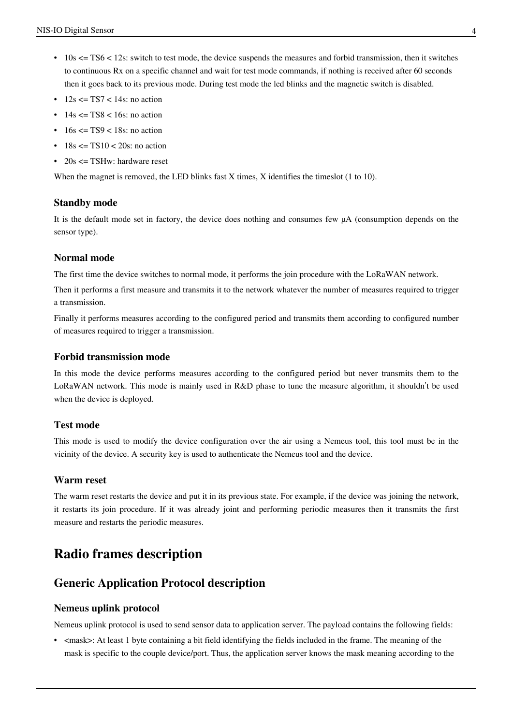- $\cdot$  10s  $\leq$  TS6  $\leq$  12s: switch to test mode, the device suspends the measures and forbid transmission, then it switches to continuous Rx on a specific channel and wait for test mode commands, if nothing is received after 60 seconds then it goes back to its previous mode. During test mode the led blinks and the magnetic switch is disabled.
- $12s \leq TST \leq 14s$ : no action
- $\cdot$  14s  $\leq$  TS8  $\leq$  16s: no action
- $\cdot$  16s  $\leq$  TS9  $\leq$  18s; no action
- $\cdot$  18s  $\leq$  TS10  $\leq$  20s: no action
- 20s  $\leq$  TSHw: hardware reset

When the magnet is removed, the LED blinks fast X times, X identifies the timeslot (1 to 10).

#### **Standby mode**

It is the default mode set in factory, the device does nothing and consumes few µA (consumption depends on the sensor type).

#### **Normal mode**

The first time the device switches to normal mode, it performs the join procedure with the LoRaWAN network.

Then it performs a first measure and transmits it to the network whatever the number of measures required to trigger a transmission.

Finally it performs measures according to the configured period and transmits them according to configured number of measures required to trigger a transmission.

#### **Forbid transmission mode**

In this mode the device performs measures according to the configured period but never transmits them to the LoRaWAN network. This mode is mainly used in R&D phase to tune the measure algorithm, it shouldn't be used when the device is deployed.

#### **Test mode**

This mode is used to modify the device configuration over the air using a Nemeus tool, this tool must be in the vicinity of the device. A security key is used to authenticate the Nemeus tool and the device.

#### **Warm reset**

The warm reset restarts the device and put it in its previous state. For example, if the device was joining the network, it restarts its join procedure. If it was already joint and performing periodic measures then it transmits the first measure and restarts the periodic measures.

## **Radio frames description**

#### **Generic Application Protocol description**

#### **Nemeus uplink protocol**

Nemeus uplink protocol is used to send sensor data to application server. The payload contains the following fields:

• <mask>: At least 1 byte containing a bit field identifying the fields included in the frame. The meaning of the mask is specific to the couple device/port. Thus, the application server knows the mask meaning according to the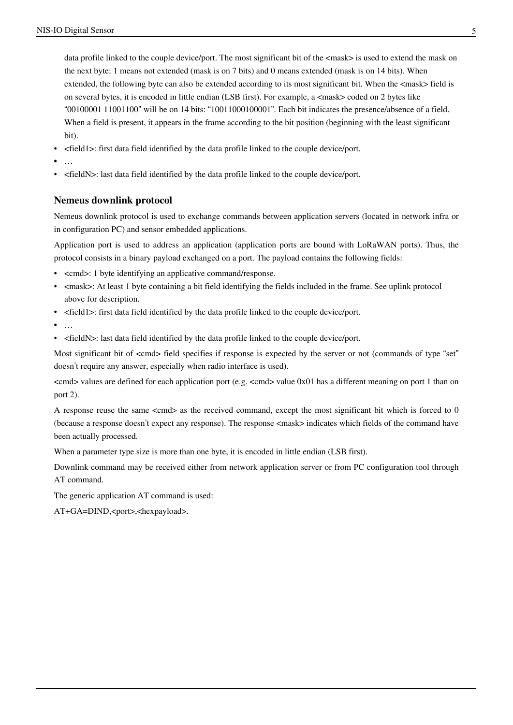data profile linked to the couple device/port. The most significant bit of the <mask> is used to extend the mask on the next byte: 1 means not extended (mask is on 7 bits) and 0 means extended (mask is on 14 bits). When extended, the following byte can also be extended according to its most significant bit. When the  $\langle$ mask> field is on several bytes, it is encoded in little endian (LSB first). For example, a <mask> coded on 2 bytes like "00100001 11001100" will be on 14 bits: "10011000100001". Each bit indicates the presence/absence of a field. When a field is present, it appears in the frame according to the bit position (beginning with the least significant bit).

- <field1>: first data field identified by the data profile linked to the couple device/port.
- …
- <fieldN>: last data field identified by the data profile linked to the couple device/port.

#### **Nemeus downlink protocol**

Nemeus downlink protocol is used to exchange commands between application servers (located in network infra or in configuration PC) and sensor embedded applications.

Application port is used to address an application (application ports are bound with LoRaWAN ports). Thus, the protocol consists in a binary payload exchanged on a port. The payload contains the following fields:

- <cmd>: 1 byte identifying an applicative command/response.
- <mask>: At least 1 byte containing a bit field identifying the fields included in the frame. See uplink protocol above for description.
- <field1>: first data field identified by the data profile linked to the couple device/port.
- …
- <fieldN>: last data field identified by the data profile linked to the couple device/port.

Most significant bit of  $\ll$ cmd> field specifies if response is expected by the server or not (commands of type "set" doesn't require any answer, especially when radio interface is used).

 $\ll$ cmd $>$  values are defined for each application port (e.g.  $\ll$ cmd $>$  value 0x01 has a different meaning on port 1 than on port 2).

A response reuse the same <cmd> as the received command, except the most significant bit which is forced to 0 (because a response doesn't expect any response). The response <mask> indicates which fields of the command have been actually processed.

When a parameter type size is more than one byte, it is encoded in little endian (LSB first).

Downlink command may be received either from network application server or from PC configuration tool through AT command.

The generic application AT command is used:

AT+GA=DIND,<port>,<hexpayload>.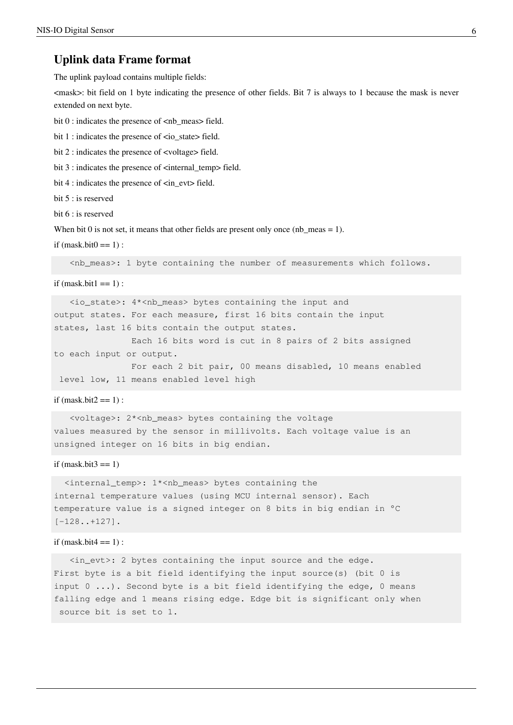#### **Uplink data Frame format**

The uplink payload contains multiple fields:

 $\langle$  mask $>$ : bit field on 1 byte indicating the presence of other fields. Bit 7 is always to 1 because the mask is never extended on next byte.

bit 0 : indicates the presence of <nb\_meas> field.

bit 1 : indicates the presence of <io\_state> field.

bit 2 : indicates the presence of <voltage> field.

bit 3 : indicates the presence of <internal\_temp> field.

bit 4 : indicates the presence of  $\langle$ in\_evt> field.

bit 5 : is reserved

bit  $6:$  is reserved

When bit 0 is not set, it means that other fields are present only once (nb\_meas = 1).

if  $(mask.bit0 == 1)$ :

<nb\_meas>: 1 byte containing the number of measurements which follows.

if  $(mask.bit1 == 1)$ :

 <io\_state>: 4\*<nb\_meas> bytes containing the input and output states. For each measure, first 16 bits contain the input states, last 16 bits contain the output states.

 Each 16 bits word is cut in 8 pairs of 2 bits assigned to each input or output.

 For each 2 bit pair, 00 means disabled, 10 means enabled level low, 11 means enabled level high

#### if  $(mask.bit2 == 1)$ :

 <voltage>: 2\*<nb\_meas> bytes containing the voltage values measured by the sensor in millivolts. Each voltage value is an unsigned integer on 16 bits in big endian.

#### if (mask.bit $3 == 1$ )

 <internal\_temp>: 1\*<nb\_meas> bytes containing the internal temperature values (using MCU internal sensor). Each temperature value is a signed integer on 8 bits in big endian in °C [-128..+127].

#### if  $(mask.bit4 == 1)$ :

 <in\_evt>: 2 bytes containing the input source and the edge. First byte is a bit field identifying the input source(s) (bit 0 is input  $0 \ldots$ ). Second byte is a bit field identifying the edge, 0 means falling edge and 1 means rising edge. Edge bit is significant only when source bit is set to 1.